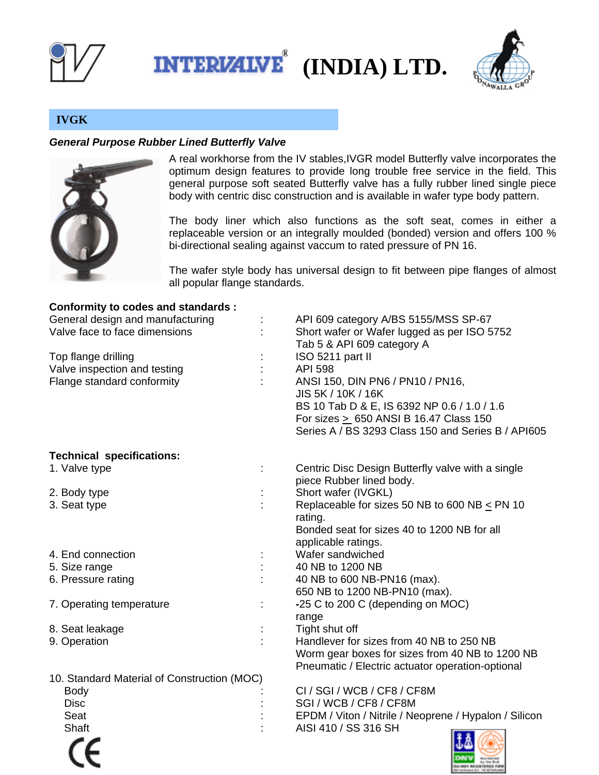





# **IVGK**

## *General Purpose Rubber Lined Butterfly Valve*



A real workhorse from the IV stables,IVGR model Butterfly valve incorporates the optimum design features to provide long trouble free service in the field. This general purpose soft seated Butterfly valve has a fully rubber lined single piece body with centric disc construction and is available in wafer type body pattern.

The body liner which also functions as the soft seat, comes in either a replaceable version or an integrally moulded (bonded) version and offers 100 % bi-directional sealing against vaccum to rated pressure of PN 16.

The wafer style body has universal design to fit between pipe flanges of almost all popular flange standards.

| <b>Conformity to codes and standards:</b>   |                                                       |
|---------------------------------------------|-------------------------------------------------------|
| General design and manufacturing            | API 609 category A/BS 5155/MSS SP-67                  |
| Valve face to face dimensions               | Short wafer or Wafer lugged as per ISO 5752           |
|                                             | Tab 5 & API 609 category A                            |
| Top flange drilling                         | ISO 5211 part II                                      |
| Valve inspection and testing                | <b>API 598</b>                                        |
| Flange standard conformity                  | ANSI 150, DIN PN6 / PN10 / PN16,                      |
|                                             | JIS 5K / 10K / 16K                                    |
|                                             | BS 10 Tab D & E, IS 6392 NP 0.6 / 1.0 / 1.6           |
|                                             | For sizes > 650 ANSI B 16.47 Class 150                |
|                                             | Series A / BS 3293 Class 150 and Series B / API605    |
| <b>Technical specifications:</b>            |                                                       |
| 1. Valve type                               | Centric Disc Design Butterfly valve with a single     |
|                                             | piece Rubber lined body.                              |
| 2. Body type                                | Short wafer (IVGKL)                                   |
| 3. Seat type                                | Replaceable for sizes 50 NB to 600 NB $\leq$ PN 10    |
|                                             | rating.                                               |
|                                             | Bonded seat for sizes 40 to 1200 NB for all           |
|                                             | applicable ratings.                                   |
| 4. End connection                           | Wafer sandwiched                                      |
| 5. Size range                               | 40 NB to 1200 NB                                      |
| 6. Pressure rating                          | 40 NB to 600 NB-PN16 (max).                           |
|                                             | 650 NB to 1200 NB-PN10 (max).                         |
| 7. Operating temperature                    | -25 C to 200 C (depending on MOC)                     |
|                                             | range                                                 |
| 8. Seat leakage                             | Tight shut off                                        |
| 9. Operation                                | Handlever for sizes from 40 NB to 250 NB              |
|                                             | Worm gear boxes for sizes from 40 NB to 1200 NB       |
|                                             | Pneumatic / Electric actuator operation-optional      |
| 10. Standard Material of Construction (MOC) |                                                       |
| <b>Body</b>                                 | CI / SGI / WCB / CF8 / CF8M                           |
| <b>Disc</b>                                 | SGI / WCB / CF8 / CF8M                                |
| Seat                                        | EPDM / Viton / Nitrile / Neoprene / Hypalon / Silicon |
| Shaft                                       | AISI 410 / SS 316 SH                                  |